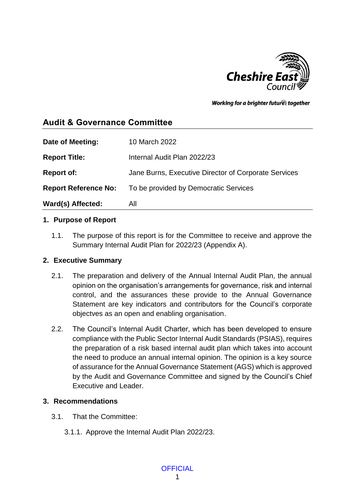

Working for a brighter futures together

# **Audit & Governance Committee**

| Date of Meeting:            | 10 March 2022                                        |
|-----------------------------|------------------------------------------------------|
| <b>Report Title:</b>        | Internal Audit Plan 2022/23                          |
| <b>Report of:</b>           | Jane Burns, Executive Director of Corporate Services |
| <b>Report Reference No:</b> | To be provided by Democratic Services                |
| Ward(s) Affected:           | All                                                  |

#### **1. Purpose of Report**

1.1. The purpose of this report is for the Committee to receive and approve the Summary Internal Audit Plan for 2022/23 (Appendix A).

### **2. Executive Summary**

- 2.1. The preparation and delivery of the Annual Internal Audit Plan, the annual opinion on the organisation's arrangements for governance, risk and internal control, and the assurances these provide to the Annual Governance Statement are key indicators and contributors for the Council's corporate objectves as an open and enabling organisation.
- 2.2. The Council's Internal Audit Charter, which has been developed to ensure compliance with the Public Sector Internal Audit Standards (PSIAS), requires the preparation of a risk based internal audit plan which takes into account the need to produce an annual internal opinion. The opinion is a key source of assurance for the Annual Governance Statement (AGS) which is approved by the Audit and Governance Committee and signed by the Council's Chief Executive and Leader.

### **3. Recommendations**

- 3.1. That the Committee:
	- 3.1.1. Approve the Internal Audit Plan 2022/23.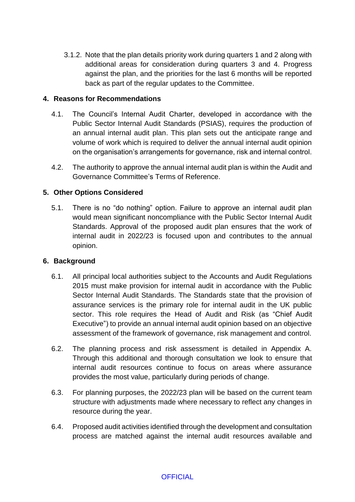3.1.2. Note that the plan details priority work during quarters 1 and 2 along with additional areas for consideration during quarters 3 and 4. Progress against the plan, and the priorities for the last 6 months will be reported back as part of the regular updates to the Committee.

#### **4. Reasons for Recommendations**

- 4.1. The Council's Internal Audit Charter, developed in accordance with the Public Sector Internal Audit Standards (PSIAS), requires the production of an annual internal audit plan. This plan sets out the anticipate range and volume of work which is required to deliver the annual internal audit opinion on the organisation's arrangements for governance, risk and internal control.
- 4.2. The authority to approve the annual internal audit plan is within the Audit and Governance Committee's Terms of Reference.

#### **5. Other Options Considered**

5.1. There is no "do nothing" option. Failure to approve an internal audit plan would mean significant noncompliance with the Public Sector Internal Audit Standards. Approval of the proposed audit plan ensures that the work of internal audit in 2022/23 is focused upon and contributes to the annual opinion.

#### **6. Background**

- 6.1. All principal local authorities subject to the Accounts and Audit Regulations 2015 must make provision for internal audit in accordance with the Public Sector Internal Audit Standards. The Standards state that the provision of assurance services is the primary role for internal audit in the UK public sector. This role requires the Head of Audit and Risk (as "Chief Audit Executive") to provide an annual internal audit opinion based on an objective assessment of the framework of governance, risk management and control.
- 6.2. The planning process and risk assessment is detailed in Appendix A. Through this additional and thorough consultation we look to ensure that internal audit resources continue to focus on areas where assurance provides the most value, particularly during periods of change.
- 6.3. For planning purposes, the 2022/23 plan will be based on the current team structure with adjustments made where necessary to reflect any changes in resource during the year.
- 6.4. Proposed audit activities identified through the development and consultation process are matched against the internal audit resources available and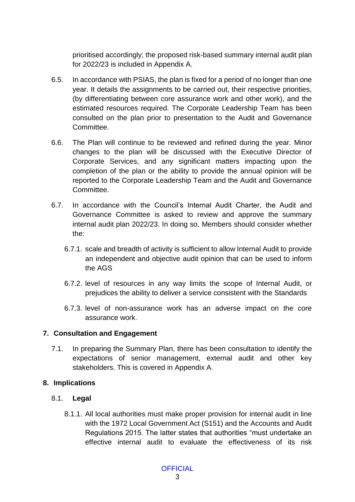prioritised accordingly; the proposed risk-based summary internal audit plan for 2022/23 is included in Appendix A.

- 6.5. In accordance with PSIAS, the plan is fixed for a period of no longer than one year. It details the assignments to be carried out, their respective priorities, (by differentiating between core assurance work and other work), and the estimated resources required. The Corporate Leadership Team has been consulted on the plan prior to presentation to the Audit and Governance Committee.
- 6.6. The Plan will continue to be reviewed and refined during the year. Minor changes to the plan will be discussed with the Executive Director of Corporate Services, and any significant matters impacting upon the completion of the plan or the ability to provide the annual opinion will be reported to the Corporate Leadership Team and the Audit and Governance **Committee.**
- 6.7. In accordance with the Council's Internal Audit Charter, the Audit and Governance Committee is asked to review and approve the summary internal audit plan 2022/23. In doing so, Members should consider whether the:
	- 6.7.1. scale and breadth of activity is sufficient to allow Internal Audit to provide an independent and objective audit opinion that can be used to inform the AGS
	- 6.7.2. level of resources in any way limits the scope of Internal Audit, or prejudices the ability to deliver a service consistent with the Standards
	- 6.7.3. level of non-assurance work has an adverse impact on the core assurance work.

### **7. Consultation and Engagement**

7.1. In preparing the Summary Plan, there has been consultation to identify the expectations of senior management, external audit and other key stakeholders. This is covered in Appendix A.

### **8. Implications**

## 8.1. **Legal**

8.1.1. All local authorities must make proper provision for internal audit in line with the 1972 Local Government Act (S151) and the Accounts and Audit Regulations 2015. The latter states that authorities "must undertake an effective internal audit to evaluate the effectiveness of its risk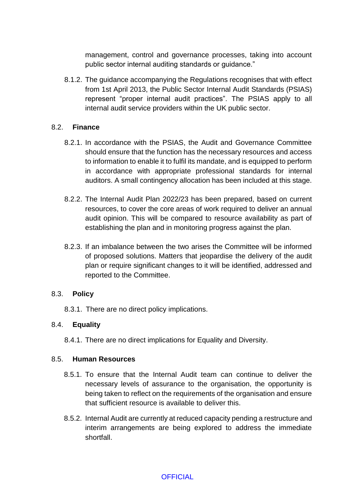management, control and governance processes, taking into account public sector internal auditing standards or guidance."

8.1.2. The guidance accompanying the Regulations recognises that with effect from 1st April 2013, the Public Sector Internal Audit Standards (PSIAS) represent "proper internal audit practices". The PSIAS apply to all internal audit service providers within the UK public sector.

### 8.2. **Finance**

- 8.2.1. In accordance with the PSIAS, the Audit and Governance Committee should ensure that the function has the necessary resources and access to information to enable it to fulfil its mandate, and is equipped to perform in accordance with appropriate professional standards for internal auditors. A small contingency allocation has been included at this stage.
- 8.2.2. The Internal Audit Plan 2022/23 has been prepared, based on current resources, to cover the core areas of work required to deliver an annual audit opinion. This will be compared to resource availability as part of establishing the plan and in monitoring progress against the plan.
- 8.2.3. If an imbalance between the two arises the Committee will be informed of proposed solutions. Matters that jeopardise the delivery of the audit plan or require significant changes to it will be identified, addressed and reported to the Committee.

#### 8.3. **Policy**

8.3.1. There are no direct policy implications.

#### 8.4. **Equality**

8.4.1. There are no direct implications for Equality and Diversity.

#### 8.5. **Human Resources**

- 8.5.1. To ensure that the Internal Audit team can continue to deliver the necessary levels of assurance to the organisation, the opportunity is being taken to reflect on the requirements of the organisation and ensure that sufficient resource is available to deliver this.
- 8.5.2. Internal Audit are currently at reduced capacity pending a restructure and interim arrangements are being explored to address the immediate shortfall.

#### **OFFICIAL**